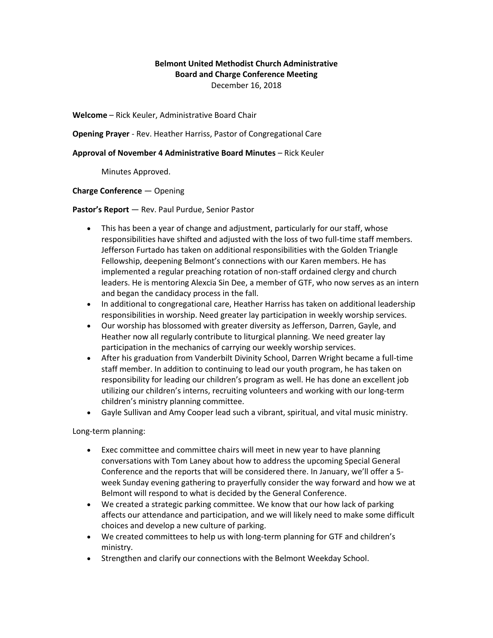## **Belmont United Methodist Church Administrative Board and Charge Conference Meeting** December 16, 2018

**Welcome** – Rick Keuler, Administrative Board Chair

**Opening Prayer** - Rev. Heather Harriss, Pastor of Congregational Care

#### **Approval of November 4 Administrative Board Minutes** – Rick Keuler

Minutes Approved.

#### **Charge Conference** — Opening

**Pastor's Report** — Rev. Paul Purdue, Senior Pastor

- This has been a year of change and adjustment, particularly for our staff, whose responsibilities have shifted and adjusted with the loss of two full-time staff members. Jefferson Furtado has taken on additional responsibilities with the Golden Triangle Fellowship, deepening Belmont's connections with our Karen members. He has implemented a regular preaching rotation of non-staff ordained clergy and church leaders. He is mentoring Alexcia Sin Dee, a member of GTF, who now serves as an intern and began the candidacy process in the fall.
- In additional to congregational care, Heather Harriss has taken on additional leadership responsibilities in worship. Need greater lay participation in weekly worship services.
- Our worship has blossomed with greater diversity as Jefferson, Darren, Gayle, and Heather now all regularly contribute to liturgical planning. We need greater lay participation in the mechanics of carrying our weekly worship services.
- After his graduation from Vanderbilt Divinity School, Darren Wright became a full-time staff member. In addition to continuing to lead our youth program, he has taken on responsibility for leading our children's program as well. He has done an excellent job utilizing our children's interns, recruiting volunteers and working with our long-term children's ministry planning committee.
- Gayle Sullivan and Amy Cooper lead such a vibrant, spiritual, and vital music ministry.

Long-term planning:

- Exec committee and committee chairs will meet in new year to have planning conversations with Tom Laney about how to address the upcoming Special General Conference and the reports that will be considered there. In January, we'll offer a 5 week Sunday evening gathering to prayerfully consider the way forward and how we at Belmont will respond to what is decided by the General Conference.
- We created a strategic parking committee. We know that our how lack of parking affects our attendance and participation, and we will likely need to make some difficult choices and develop a new culture of parking.
- We created committees to help us with long-term planning for GTF and children's ministry.
- Strengthen and clarify our connections with the Belmont Weekday School.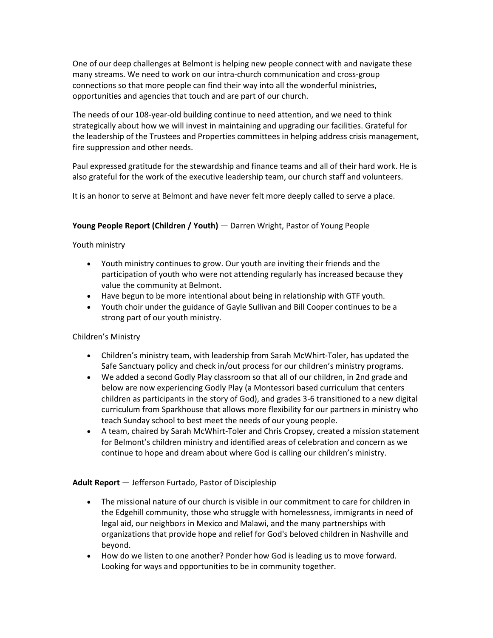One of our deep challenges at Belmont is helping new people connect with and navigate these many streams. We need to work on our intra-church communication and cross-group connections so that more people can find their way into all the wonderful ministries, opportunities and agencies that touch and are part of our church.

The needs of our 108-year-old building continue to need attention, and we need to think strategically about how we will invest in maintaining and upgrading our facilities. Grateful for the leadership of the Trustees and Properties committees in helping address crisis management, fire suppression and other needs.

Paul expressed gratitude for the stewardship and finance teams and all of their hard work. He is also grateful for the work of the executive leadership team, our church staff and volunteers.

It is an honor to serve at Belmont and have never felt more deeply called to serve a place.

# **Young People Report (Children / Youth)** — Darren Wright, Pastor of Young People

Youth ministry

- Youth ministry continues to grow. Our youth are inviting their friends and the participation of youth who were not attending regularly has increased because they value the community at Belmont.
- Have begun to be more intentional about being in relationship with GTF youth.
- Youth choir under the guidance of Gayle Sullivan and Bill Cooper continues to be a strong part of our youth ministry.

Children's Ministry

- Children's ministry team, with leadership from Sarah McWhirt-Toler, has updated the Safe Sanctuary policy and check in/out process for our children's ministry programs.
- We added a second Godly Play classroom so that all of our children, in 2nd grade and below are now experiencing Godly Play (a Montessori based curriculum that centers children as participants in the story of God), and grades 3-6 transitioned to a new digital curriculum from Sparkhouse that allows more flexibility for our partners in ministry who teach Sunday school to best meet the needs of our young people.
- A team, chaired by Sarah McWhirt-Toler and Chris Cropsey, created a mission statement for Belmont's children ministry and identified areas of celebration and concern as we continue to hope and dream about where God is calling our children's ministry.

**Adult Report** — Jefferson Furtado, Pastor of Discipleship

- The missional nature of our church is visible in our commitment to care for children in the Edgehill community, those who struggle with homelessness, immigrants in need of legal aid, our neighbors in Mexico and Malawi, and the many partnerships with organizations that provide hope and relief for God's beloved children in Nashville and beyond.
- How do we listen to one another? Ponder how God is leading us to move forward. Looking for ways and opportunities to be in community together.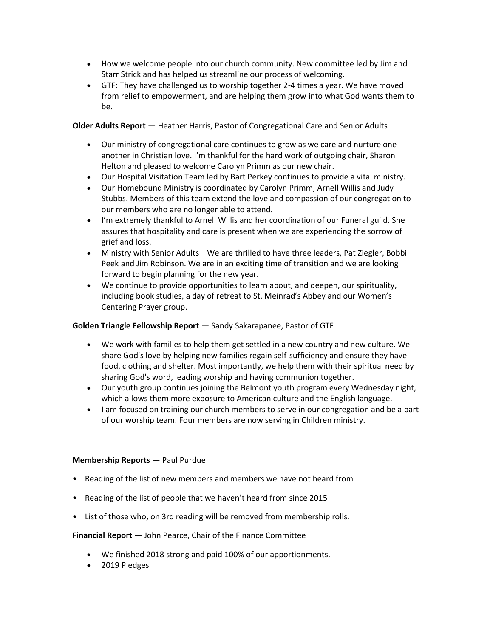- How we welcome people into our church community. New committee led by Jim and Starr Strickland has helped us streamline our process of welcoming.
- GTF: They have challenged us to worship together 2-4 times a year. We have moved from relief to empowerment, and are helping them grow into what God wants them to be.

**Older Adults Report** — Heather Harris, Pastor of Congregational Care and Senior Adults

- Our ministry of congregational care continues to grow as we care and nurture one another in Christian love. I'm thankful for the hard work of outgoing chair, Sharon Helton and pleased to welcome Carolyn Primm as our new chair.
- Our Hospital Visitation Team led by Bart Perkey continues to provide a vital ministry.
- Our Homebound Ministry is coordinated by Carolyn Primm, Arnell Willis and Judy Stubbs. Members of this team extend the love and compassion of our congregation to our members who are no longer able to attend.
- I'm extremely thankful to Arnell Willis and her coordination of our Funeral guild. She assures that hospitality and care is present when we are experiencing the sorrow of grief and loss.
- Ministry with Senior Adults—We are thrilled to have three leaders, Pat Ziegler, Bobbi Peek and Jim Robinson. We are in an exciting time of transition and we are looking forward to begin planning for the new year.
- We continue to provide opportunities to learn about, and deepen, our spirituality, including book studies, a day of retreat to St. Meinrad's Abbey and our Women's Centering Prayer group.

## **Golden Triangle Fellowship Report** — Sandy Sakarapanee, Pastor of GTF

- We work with families to help them get settled in a new country and new culture. We share God's love by helping new families regain self-sufficiency and ensure they have food, clothing and shelter. Most importantly, we help them with their spiritual need by sharing God's word, leading worship and having communion together.
- Our youth group continues joining the Belmont youth program every Wednesday night, which allows them more exposure to American culture and the English language.
- I am focused on training our church members to serve in our congregation and be a part of our worship team. Four members are now serving in Children ministry.

## **Membership Reports** — Paul Purdue

- Reading of the list of new members and members we have not heard from
- Reading of the list of people that we haven't heard from since 2015
- List of those who, on 3rd reading will be removed from membership rolls.

**Financial Report** — John Pearce, Chair of the Finance Committee

- We finished 2018 strong and paid 100% of our apportionments.
- 2019 Pledges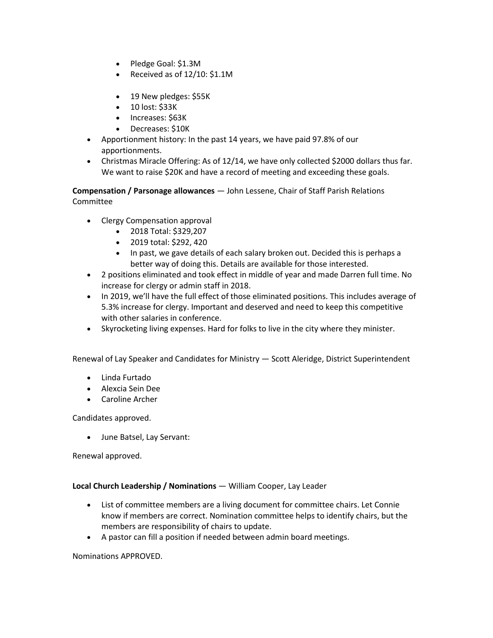- Pledge Goal: \$1.3M
- Received as of 12/10: \$1.1M
- 19 New pledges: \$55K
- 10 lost: \$33K
- Increases: \$63K
- Decreases: \$10K
- Apportionment history: In the past 14 years, we have paid 97.8% of our apportionments.
- Christmas Miracle Offering: As of 12/14, we have only collected \$2000 dollars thus far. We want to raise \$20K and have a record of meeting and exceeding these goals.

**Compensation / Parsonage allowances** — John Lessene, Chair of Staff Parish Relations Committee

- Clergy Compensation approval
	- 2018 Total: \$329,207
	- 2019 total: \$292, 420
	- In past, we gave details of each salary broken out. Decided this is perhaps a better way of doing this. Details are available for those interested.
- 2 positions eliminated and took effect in middle of year and made Darren full time. No increase for clergy or admin staff in 2018.
- In 2019, we'll have the full effect of those eliminated positions. This includes average of 5.3% increase for clergy. Important and deserved and need to keep this competitive with other salaries in conference.
- Skyrocketing living expenses. Hard for folks to live in the city where they minister.

Renewal of Lay Speaker and Candidates for Ministry — Scott Aleridge, District Superintendent

- Linda Furtado
- Alexcia Sein Dee
- Caroline Archer

Candidates approved.

• June Batsel, Lay Servant:

Renewal approved.

## **Local Church Leadership / Nominations** — William Cooper, Lay Leader

- List of committee members are a living document for committee chairs. Let Connie know if members are correct. Nomination committee helps to identify chairs, but the members are responsibility of chairs to update.
- A pastor can fill a position if needed between admin board meetings.

## Nominations APPROVED.